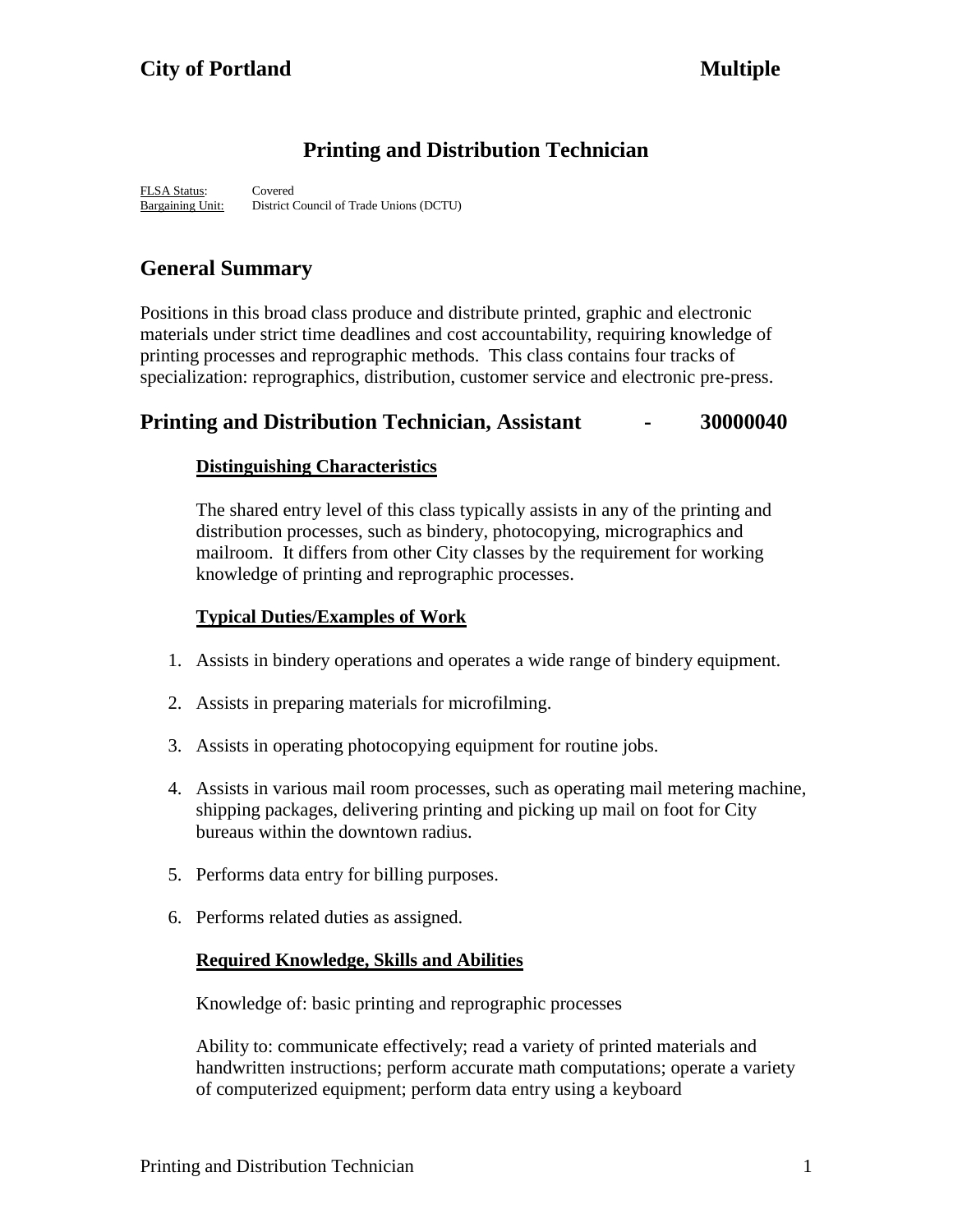# **Printing and Distribution Technician**

FLSA Status: Covered Bargaining Unit: District Council of Trade Unions (DCTU)

# **General Summary**

Positions in this broad class produce and distribute printed, graphic and electronic materials under strict time deadlines and cost accountability, requiring knowledge of printing processes and reprographic methods. This class contains four tracks of specialization: reprographics, distribution, customer service and electronic pre-press.

# **Printing and Distribution Technician, Assistant - 30000040**

## **Distinguishing Characteristics**

The shared entry level of this class typically assists in any of the printing and distribution processes, such as bindery, photocopying, micrographics and mailroom. It differs from other City classes by the requirement for working knowledge of printing and reprographic processes.

## **Typical Duties/Examples of Work**

- 1. Assists in bindery operations and operates a wide range of bindery equipment.
- 2. Assists in preparing materials for microfilming.
- 3. Assists in operating photocopying equipment for routine jobs.
- 4. Assists in various mail room processes, such as operating mail metering machine, shipping packages, delivering printing and picking up mail on foot for City bureaus within the downtown radius.
- 5. Performs data entry for billing purposes.
- 6. Performs related duties as assigned.

## **Required Knowledge, Skills and Abilities**

Knowledge of: basic printing and reprographic processes

Ability to: communicate effectively; read a variety of printed materials and handwritten instructions; perform accurate math computations; operate a variety of computerized equipment; perform data entry using a keyboard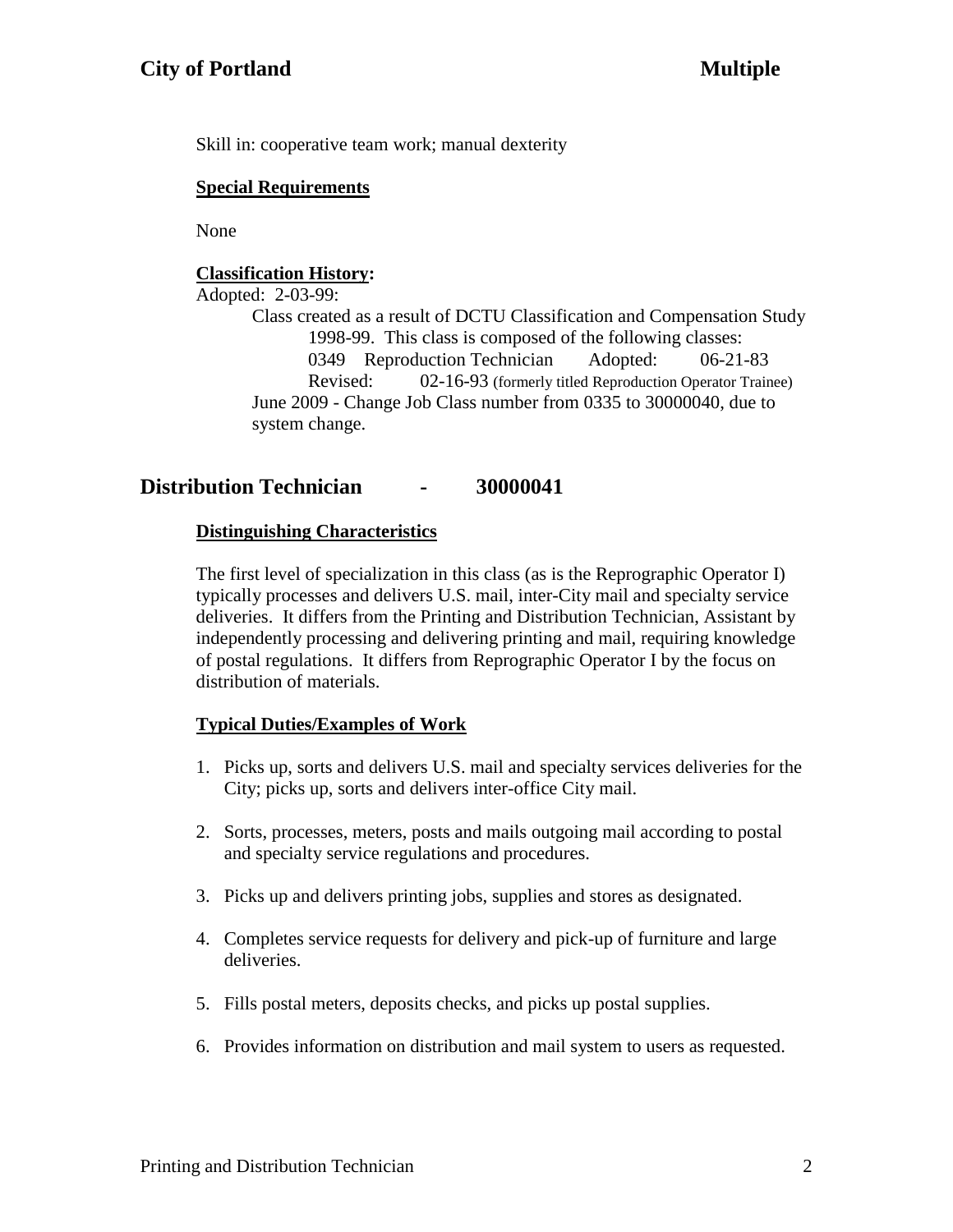Skill in: cooperative team work; manual dexterity

## **Special Requirements**

None

# **Classification History:**

Adopted: 2-03-99:

Class created as a result of DCTU Classification and Compensation Study 1998-99. This class is composed of the following classes: 0349 Reproduction Technician Adopted: 06-21-83 Revised: 02-16-93 (formerly titled Reproduction Operator Trainee) June 2009 - Change Job Class number from 0335 to 30000040, due to system change.

# **Distribution Technician - 30000041**

## **Distinguishing Characteristics**

The first level of specialization in this class (as is the Reprographic Operator I) typically processes and delivers U.S. mail, inter-City mail and specialty service deliveries. It differs from the Printing and Distribution Technician, Assistant by independently processing and delivering printing and mail, requiring knowledge of postal regulations. It differs from Reprographic Operator I by the focus on distribution of materials.

# **Typical Duties/Examples of Work**

- 1. Picks up, sorts and delivers U.S. mail and specialty services deliveries for the City; picks up, sorts and delivers inter-office City mail.
- 2. Sorts, processes, meters, posts and mails outgoing mail according to postal and specialty service regulations and procedures.
- 3. Picks up and delivers printing jobs, supplies and stores as designated.
- 4. Completes service requests for delivery and pick-up of furniture and large deliveries.
- 5. Fills postal meters, deposits checks, and picks up postal supplies.
- 6. Provides information on distribution and mail system to users as requested.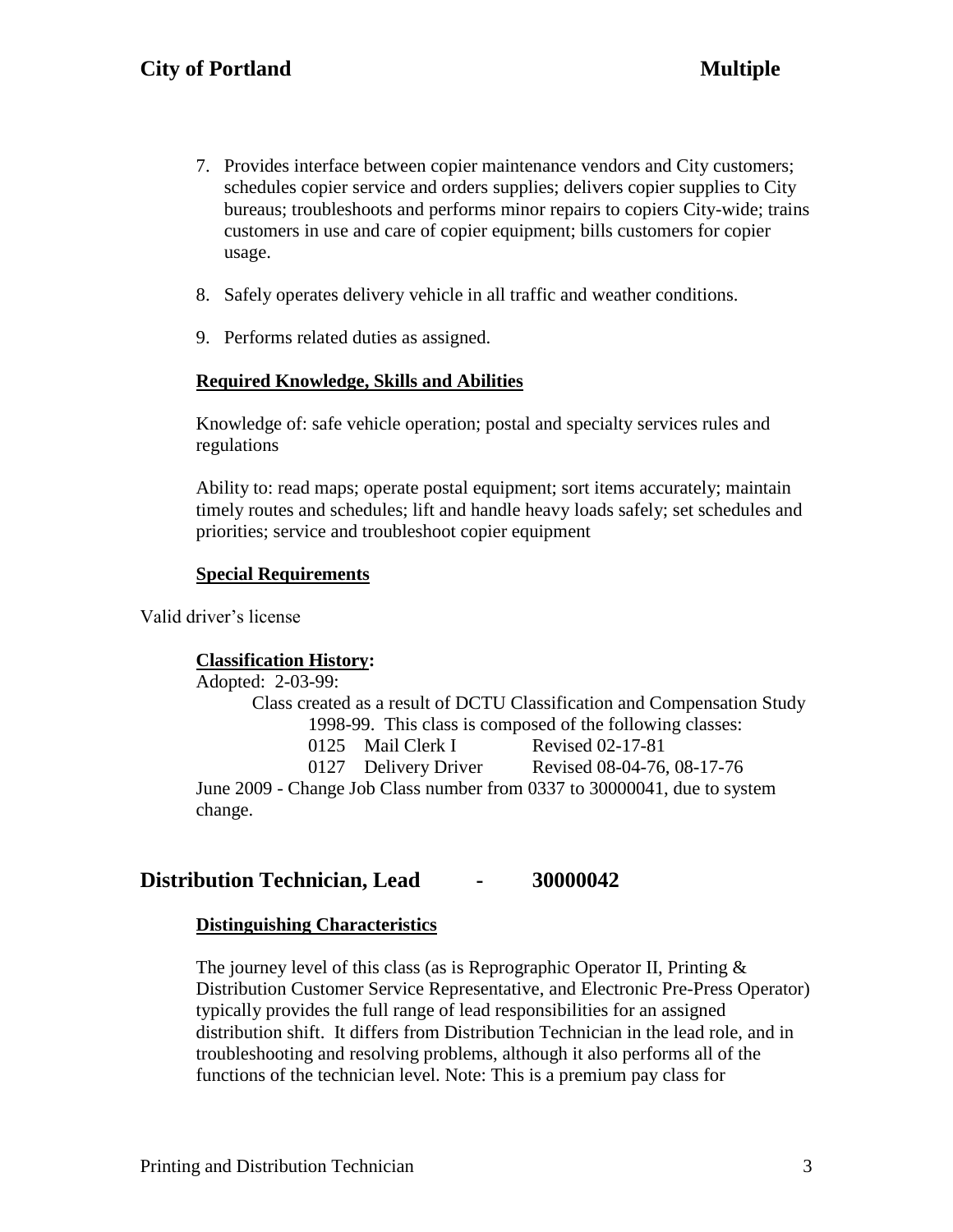- 7. Provides interface between copier maintenance vendors and City customers; schedules copier service and orders supplies; delivers copier supplies to City bureaus; troubleshoots and performs minor repairs to copiers City-wide; trains customers in use and care of copier equipment; bills customers for copier usage.
- 8. Safely operates delivery vehicle in all traffic and weather conditions.
- 9. Performs related duties as assigned.

### **Required Knowledge, Skills and Abilities**

Knowledge of: safe vehicle operation; postal and specialty services rules and regulations

Ability to: read maps; operate postal equipment; sort items accurately; maintain timely routes and schedules; lift and handle heavy loads safely; set schedules and priorities; service and troubleshoot copier equipment

#### **Special Requirements**

Valid driver's license

#### **Classification History:**

Adopted: 2-03-99: Class created as a result of DCTU Classification and Compensation Study 1998-99. This class is composed of the following classes: 0125 Mail Clerk I Revised 02-17-81 0127 Delivery Driver Revised 08-04-76, 08-17-76 June 2009 - Change Job Class number from 0337 to 30000041, due to system change.

## **Distribution Technician, Lead - 30000042**

#### **Distinguishing Characteristics**

The journey level of this class (as is Reprographic Operator II, Printing  $\&$ Distribution Customer Service Representative, and Electronic Pre-Press Operator) typically provides the full range of lead responsibilities for an assigned distribution shift. It differs from Distribution Technician in the lead role, and in troubleshooting and resolving problems, although it also performs all of the functions of the technician level. Note: This is a premium pay class for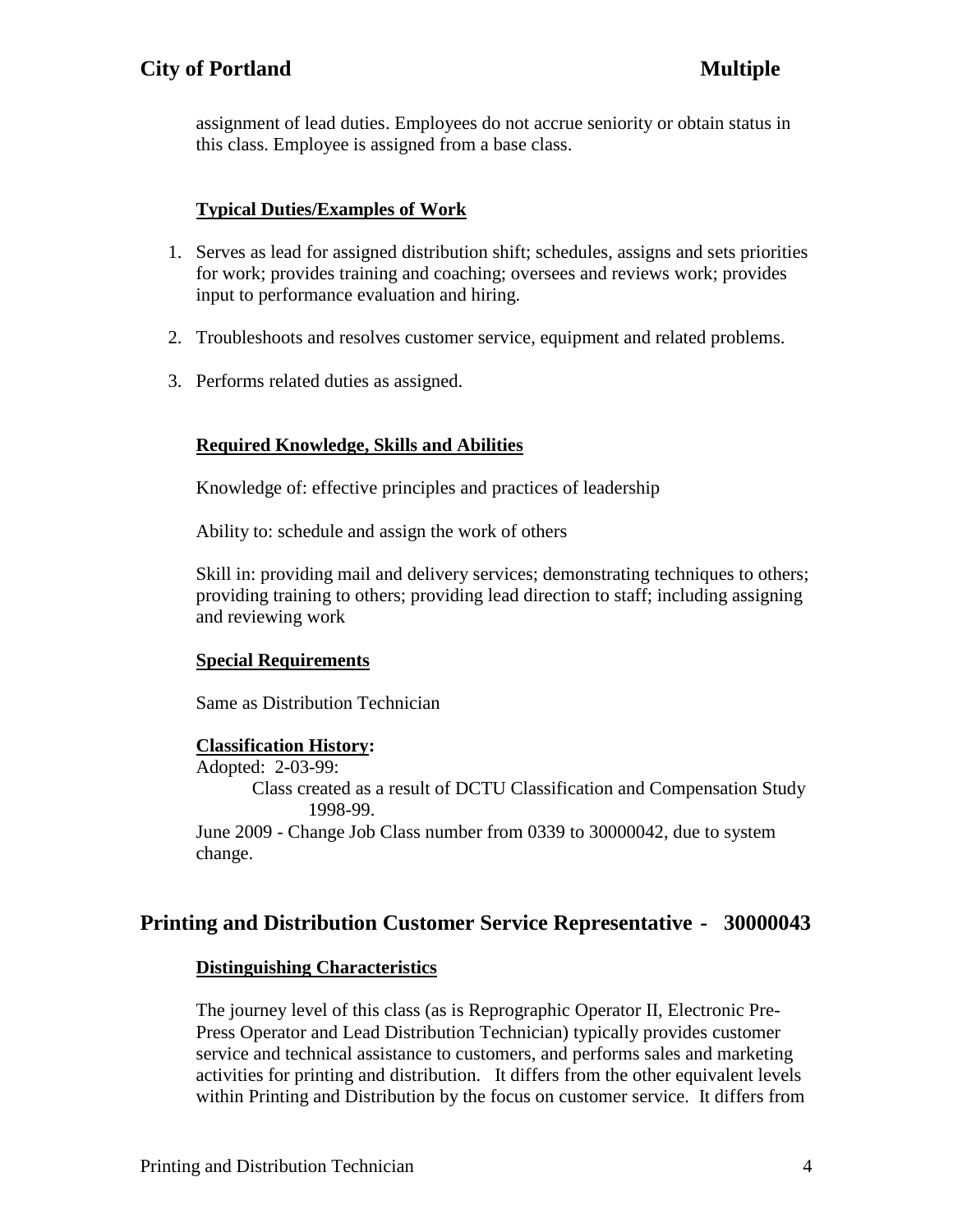assignment of lead duties. Employees do not accrue seniority or obtain status in this class. Employee is assigned from a base class.

## **Typical Duties/Examples of Work**

- 1. Serves as lead for assigned distribution shift; schedules, assigns and sets priorities for work; provides training and coaching; oversees and reviews work; provides input to performance evaluation and hiring.
- 2. Troubleshoots and resolves customer service, equipment and related problems.
- 3. Performs related duties as assigned.

## **Required Knowledge, Skills and Abilities**

Knowledge of: effective principles and practices of leadership

Ability to: schedule and assign the work of others

Skill in: providing mail and delivery services; demonstrating techniques to others; providing training to others; providing lead direction to staff; including assigning and reviewing work

## **Special Requirements**

Same as Distribution Technician

## **Classification History:**

Adopted: 2-03-99: Class created as a result of DCTU Classification and Compensation Study 1998-99. June 2009 - Change Job Class number from 0339 to 30000042, due to system

change.

# **Printing and Distribution Customer Service Representative - 30000043**

## **Distinguishing Characteristics**

The journey level of this class (as is Reprographic Operator II, Electronic Pre-Press Operator and Lead Distribution Technician) typically provides customer service and technical assistance to customers, and performs sales and marketing activities for printing and distribution. It differs from the other equivalent levels within Printing and Distribution by the focus on customer service. It differs from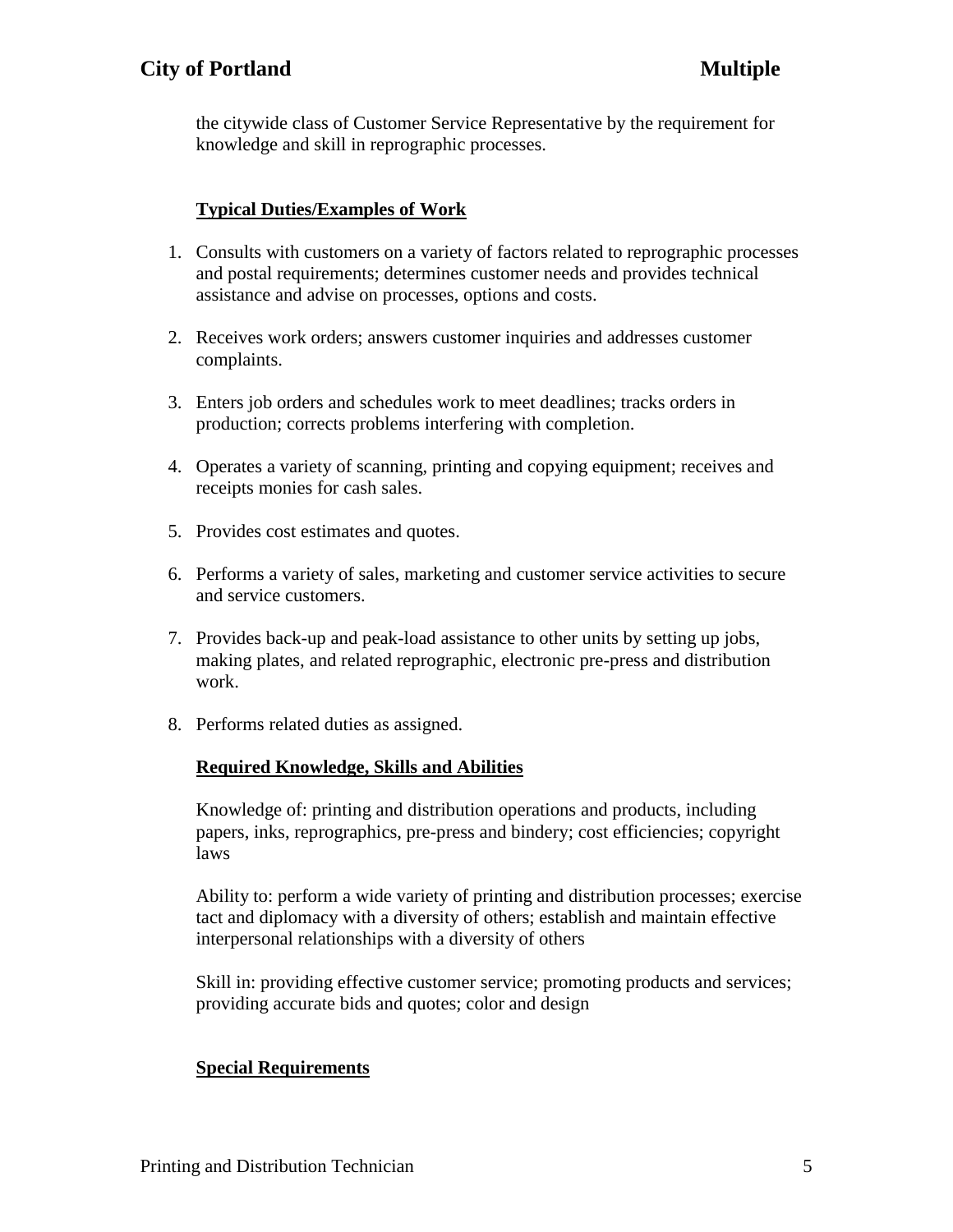the citywide class of Customer Service Representative by the requirement for knowledge and skill in reprographic processes.

# **Typical Duties/Examples of Work**

- 1. Consults with customers on a variety of factors related to reprographic processes and postal requirements; determines customer needs and provides technical assistance and advise on processes, options and costs.
- 2. Receives work orders; answers customer inquiries and addresses customer complaints.
- 3. Enters job orders and schedules work to meet deadlines; tracks orders in production; corrects problems interfering with completion.
- 4. Operates a variety of scanning, printing and copying equipment; receives and receipts monies for cash sales.
- 5. Provides cost estimates and quotes.
- 6. Performs a variety of sales, marketing and customer service activities to secure and service customers.
- 7. Provides back-up and peak-load assistance to other units by setting up jobs, making plates, and related reprographic, electronic pre-press and distribution work.
- 8. Performs related duties as assigned.

# **Required Knowledge, Skills and Abilities**

Knowledge of: printing and distribution operations and products, including papers, inks, reprographics, pre-press and bindery; cost efficiencies; copyright laws

Ability to: perform a wide variety of printing and distribution processes; exercise tact and diplomacy with a diversity of others; establish and maintain effective interpersonal relationships with a diversity of others

Skill in: providing effective customer service; promoting products and services; providing accurate bids and quotes; color and design

# **Special Requirements**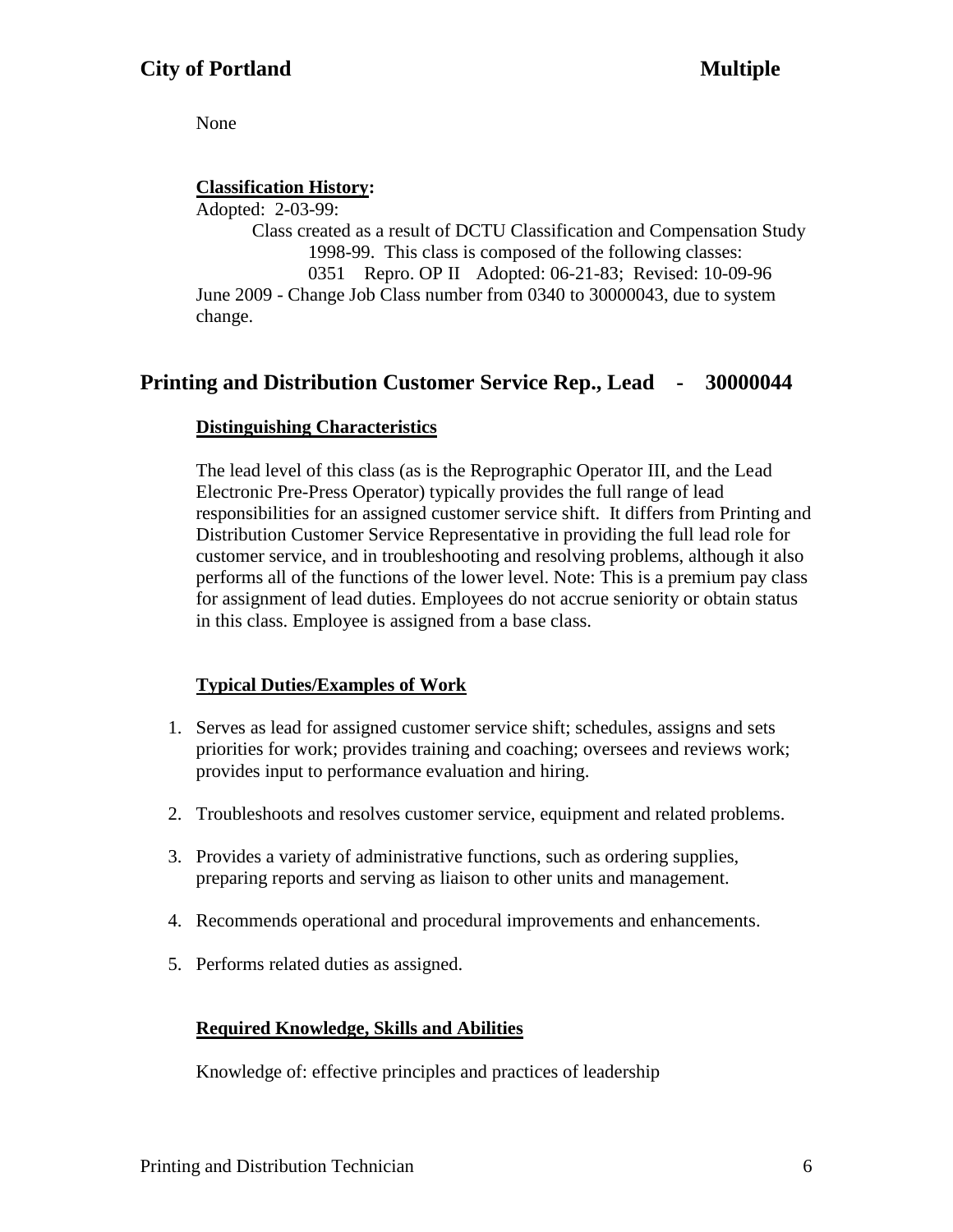None

# **Classification History:**

Adopted: 2-03-99: Class created as a result of DCTU Classification and Compensation Study 1998-99. This class is composed of the following classes: 0351 Repro. OP II Adopted: 06-21-83; Revised: 10-09-96 June 2009 - Change Job Class number from 0340 to 30000043, due to system change.

# **Printing and Distribution Customer Service Rep., Lead - 30000044**

# **Distinguishing Characteristics**

The lead level of this class (as is the Reprographic Operator III, and the Lead Electronic Pre-Press Operator) typically provides the full range of lead responsibilities for an assigned customer service shift. It differs from Printing and Distribution Customer Service Representative in providing the full lead role for customer service, and in troubleshooting and resolving problems, although it also performs all of the functions of the lower level. Note: This is a premium pay class for assignment of lead duties. Employees do not accrue seniority or obtain status in this class. Employee is assigned from a base class.

# **Typical Duties/Examples of Work**

- 1. Serves as lead for assigned customer service shift; schedules, assigns and sets priorities for work; provides training and coaching; oversees and reviews work; provides input to performance evaluation and hiring.
- 2. Troubleshoots and resolves customer service, equipment and related problems.
- 3. Provides a variety of administrative functions, such as ordering supplies, preparing reports and serving as liaison to other units and management.
- 4. Recommends operational and procedural improvements and enhancements.
- 5. Performs related duties as assigned.

# **Required Knowledge, Skills and Abilities**

Knowledge of: effective principles and practices of leadership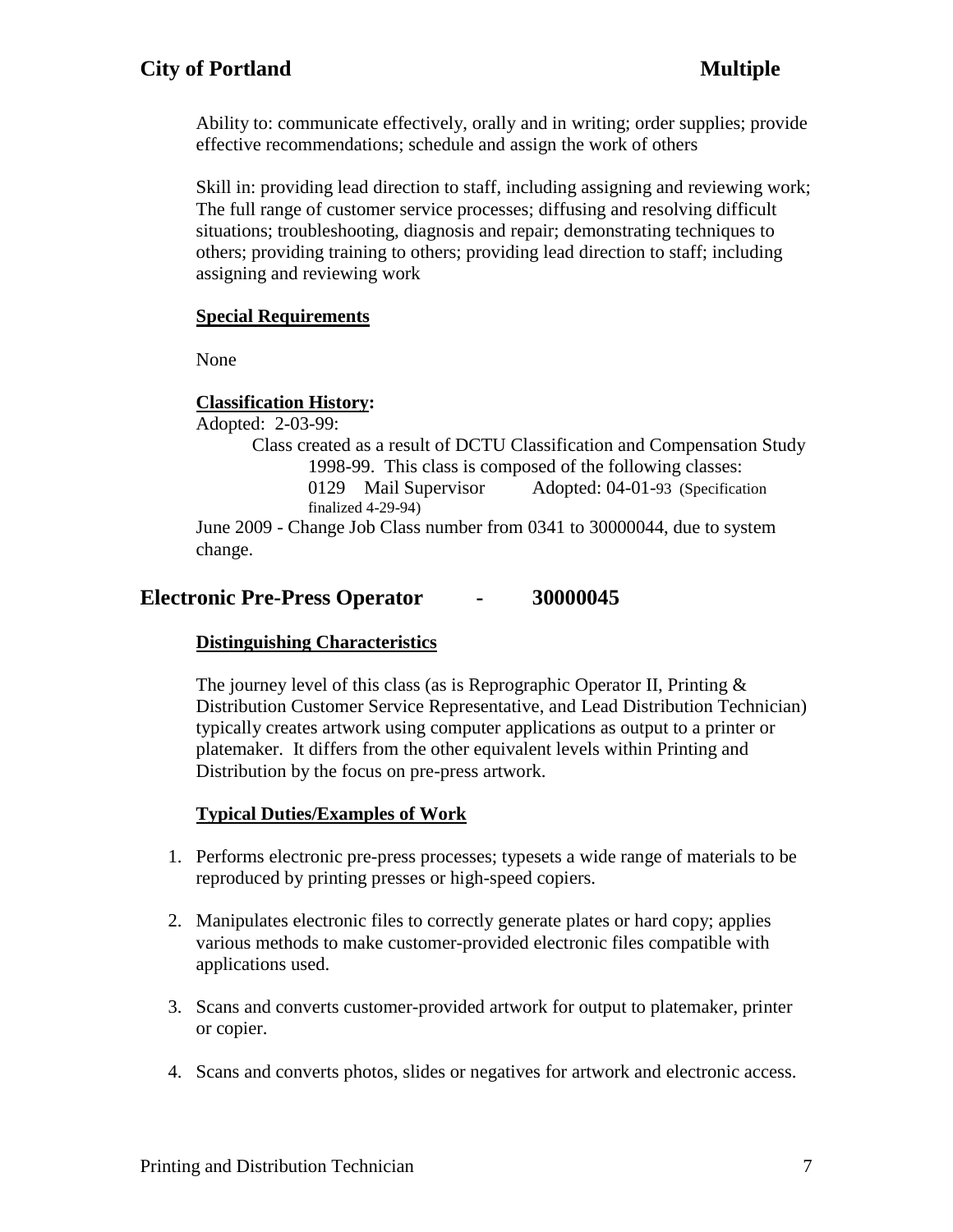# **City of Portland Multiple**

Ability to: communicate effectively, orally and in writing; order supplies; provide effective recommendations; schedule and assign the work of others

Skill in: providing lead direction to staff, including assigning and reviewing work; The full range of customer service processes; diffusing and resolving difficult situations; troubleshooting, diagnosis and repair; demonstrating techniques to others; providing training to others; providing lead direction to staff; including assigning and reviewing work

## **Special Requirements**

None

## **Classification History:**

Adopted: 2-03-99: Class created as a result of DCTU Classification and Compensation Study 1998-99. This class is composed of the following classes: 0129 Mail Supervisor Adopted: 04-01-93 (Specification finalized 4-29-94)

June 2009 - Change Job Class number from 0341 to 30000044, due to system change.

# **Electronic Pre-Press Operator - 30000045**

# **Distinguishing Characteristics**

The journey level of this class (as is Reprographic Operator II, Printing  $\&$ Distribution Customer Service Representative, and Lead Distribution Technician) typically creates artwork using computer applications as output to a printer or platemaker. It differs from the other equivalent levels within Printing and Distribution by the focus on pre-press artwork.

# **Typical Duties/Examples of Work**

- 1. Performs electronic pre-press processes; typesets a wide range of materials to be reproduced by printing presses or high-speed copiers.
- 2. Manipulates electronic files to correctly generate plates or hard copy; applies various methods to make customer-provided electronic files compatible with applications used.
- 3. Scans and converts customer-provided artwork for output to platemaker, printer or copier.
- 4. Scans and converts photos, slides or negatives for artwork and electronic access.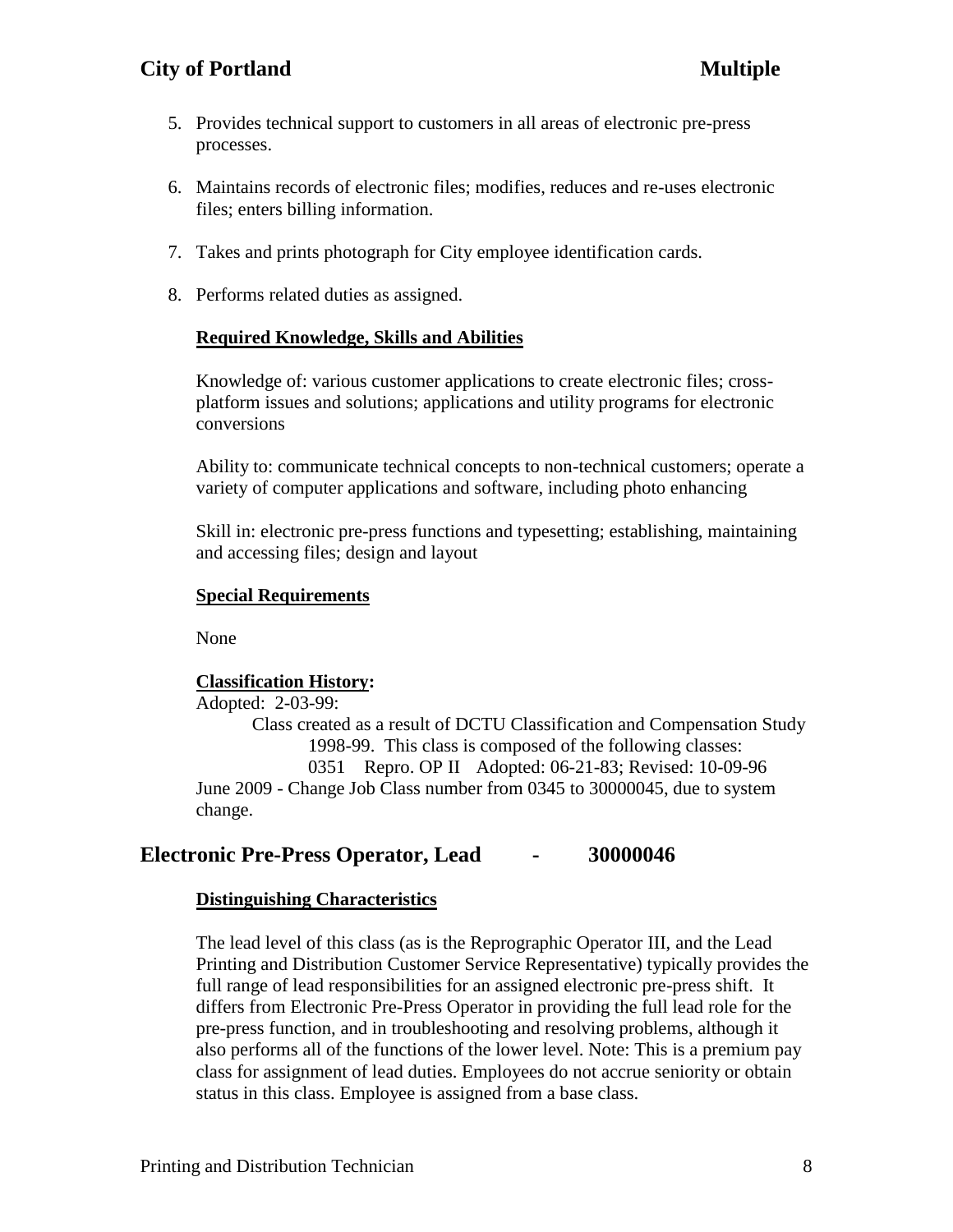# **City of Portland Multiple**

- 5. Provides technical support to customers in all areas of electronic pre-press processes.
- 6. Maintains records of electronic files; modifies, reduces and re-uses electronic files; enters billing information.
- 7. Takes and prints photograph for City employee identification cards.
- 8. Performs related duties as assigned.

### **Required Knowledge, Skills and Abilities**

Knowledge of: various customer applications to create electronic files; crossplatform issues and solutions; applications and utility programs for electronic conversions

Ability to: communicate technical concepts to non-technical customers; operate a variety of computer applications and software, including photo enhancing

Skill in: electronic pre-press functions and typesetting; establishing, maintaining and accessing files; design and layout

#### **Special Requirements**

None

#### **Classification History:**

Adopted: 2-03-99: Class created as a result of DCTU Classification and Compensation Study 1998-99. This class is composed of the following classes: 0351 Repro. OP II Adopted: 06-21-83; Revised: 10-09-96 June 2009 - Change Job Class number from 0345 to 30000045, due to system change.

## **Electronic Pre-Press Operator, Lead - 30000046**

#### **Distinguishing Characteristics**

The lead level of this class (as is the Reprographic Operator III, and the Lead Printing and Distribution Customer Service Representative) typically provides the full range of lead responsibilities for an assigned electronic pre-press shift. It differs from Electronic Pre-Press Operator in providing the full lead role for the pre-press function, and in troubleshooting and resolving problems, although it also performs all of the functions of the lower level. Note: This is a premium pay class for assignment of lead duties. Employees do not accrue seniority or obtain status in this class. Employee is assigned from a base class.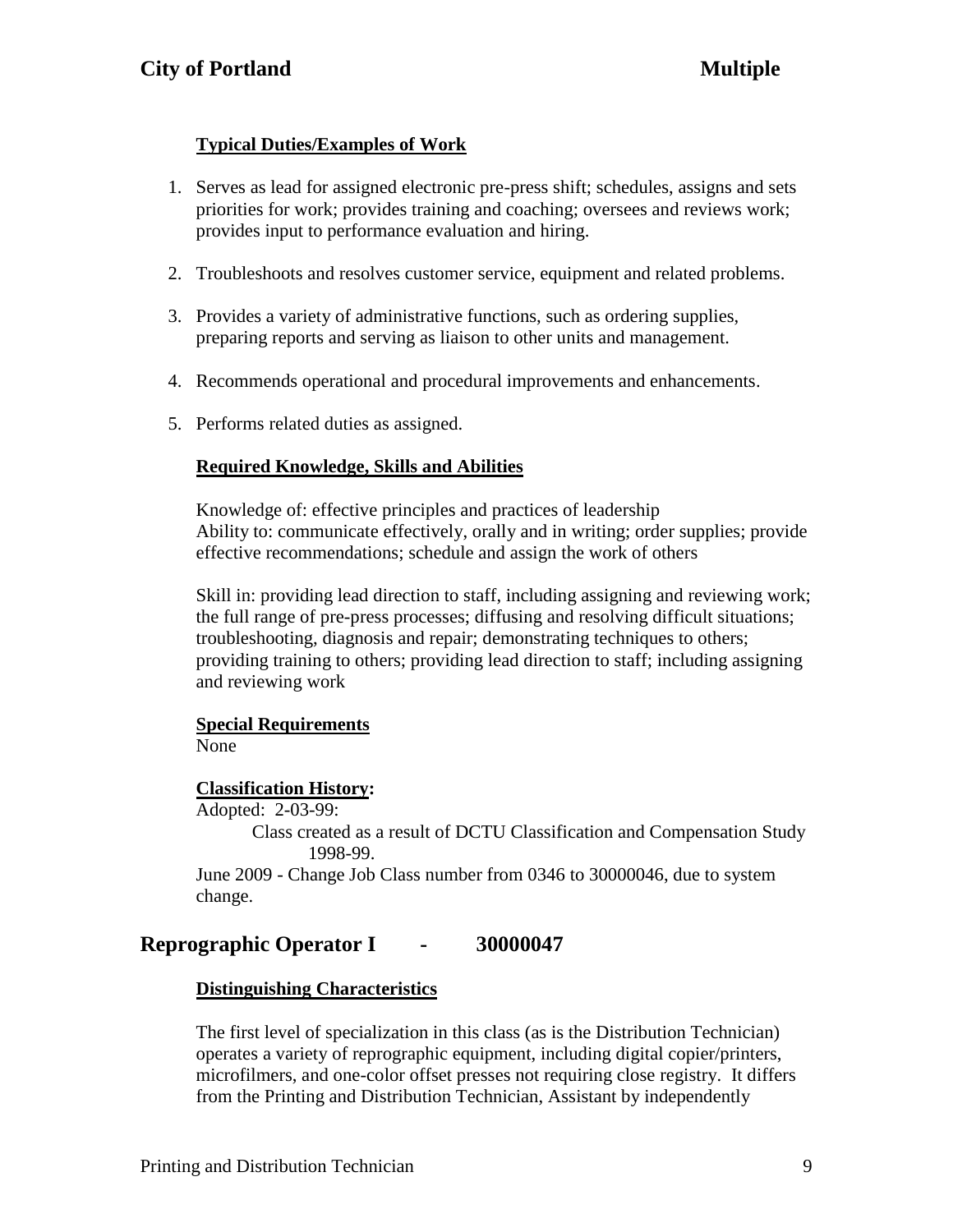# **Typical Duties/Examples of Work**

- 1. Serves as lead for assigned electronic pre-press shift; schedules, assigns and sets priorities for work; provides training and coaching; oversees and reviews work; provides input to performance evaluation and hiring.
- 2. Troubleshoots and resolves customer service, equipment and related problems.
- 3. Provides a variety of administrative functions, such as ordering supplies, preparing reports and serving as liaison to other units and management.
- 4. Recommends operational and procedural improvements and enhancements.
- 5. Performs related duties as assigned.

## **Required Knowledge, Skills and Abilities**

Knowledge of: effective principles and practices of leadership Ability to: communicate effectively, orally and in writing; order supplies; provide effective recommendations; schedule and assign the work of others

Skill in: providing lead direction to staff, including assigning and reviewing work; the full range of pre-press processes; diffusing and resolving difficult situations; troubleshooting, diagnosis and repair; demonstrating techniques to others; providing training to others; providing lead direction to staff; including assigning and reviewing work

#### **Special Requirements**

None

#### **Classification History:**

Adopted: 2-03-99:

Class created as a result of DCTU Classification and Compensation Study 1998-99.

June 2009 - Change Job Class number from 0346 to 30000046, due to system change.

# **Reprographic Operator I - 30000047**

#### **Distinguishing Characteristics**

The first level of specialization in this class (as is the Distribution Technician) operates a variety of reprographic equipment, including digital copier/printers, microfilmers, and one-color offset presses not requiring close registry. It differs from the Printing and Distribution Technician, Assistant by independently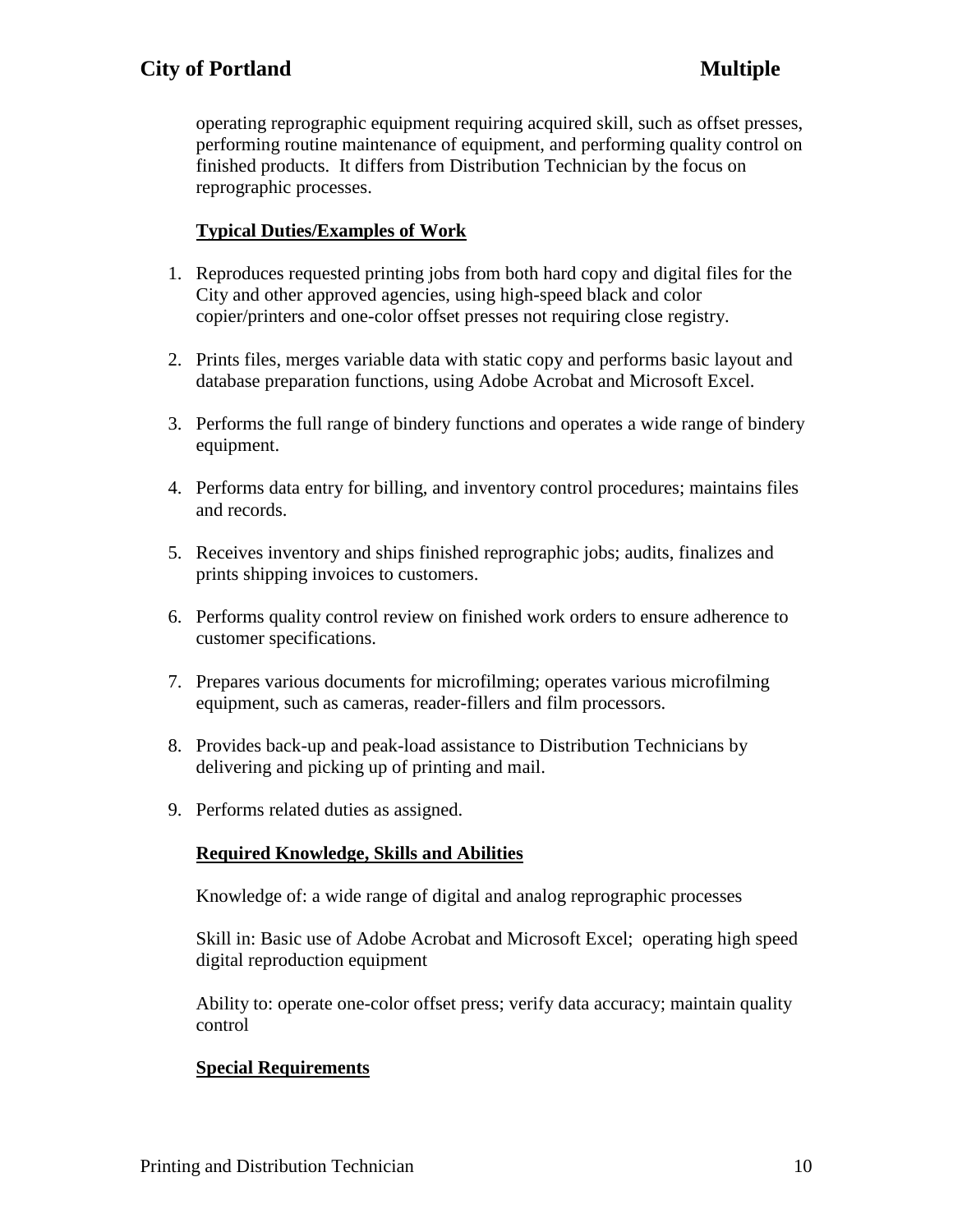operating reprographic equipment requiring acquired skill, such as offset presses, performing routine maintenance of equipment, and performing quality control on finished products. It differs from Distribution Technician by the focus on reprographic processes.

# **Typical Duties/Examples of Work**

- 1. Reproduces requested printing jobs from both hard copy and digital files for the City and other approved agencies, using high-speed black and color copier/printers and one-color offset presses not requiring close registry.
- 2. Prints files, merges variable data with static copy and performs basic layout and database preparation functions, using Adobe Acrobat and Microsoft Excel.
- 3. Performs the full range of bindery functions and operates a wide range of bindery equipment.
- 4. Performs data entry for billing, and inventory control procedures; maintains files and records.
- 5. Receives inventory and ships finished reprographic jobs; audits, finalizes and prints shipping invoices to customers.
- 6. Performs quality control review on finished work orders to ensure adherence to customer specifications.
- 7. Prepares various documents for microfilming; operates various microfilming equipment, such as cameras, reader-fillers and film processors.
- 8. Provides back-up and peak-load assistance to Distribution Technicians by delivering and picking up of printing and mail.
- 9. Performs related duties as assigned.

## **Required Knowledge, Skills and Abilities**

Knowledge of: a wide range of digital and analog reprographic processes

Skill in: Basic use of Adobe Acrobat and Microsoft Excel; operating high speed digital reproduction equipment

Ability to: operate one-color offset press; verify data accuracy; maintain quality control

## **Special Requirements**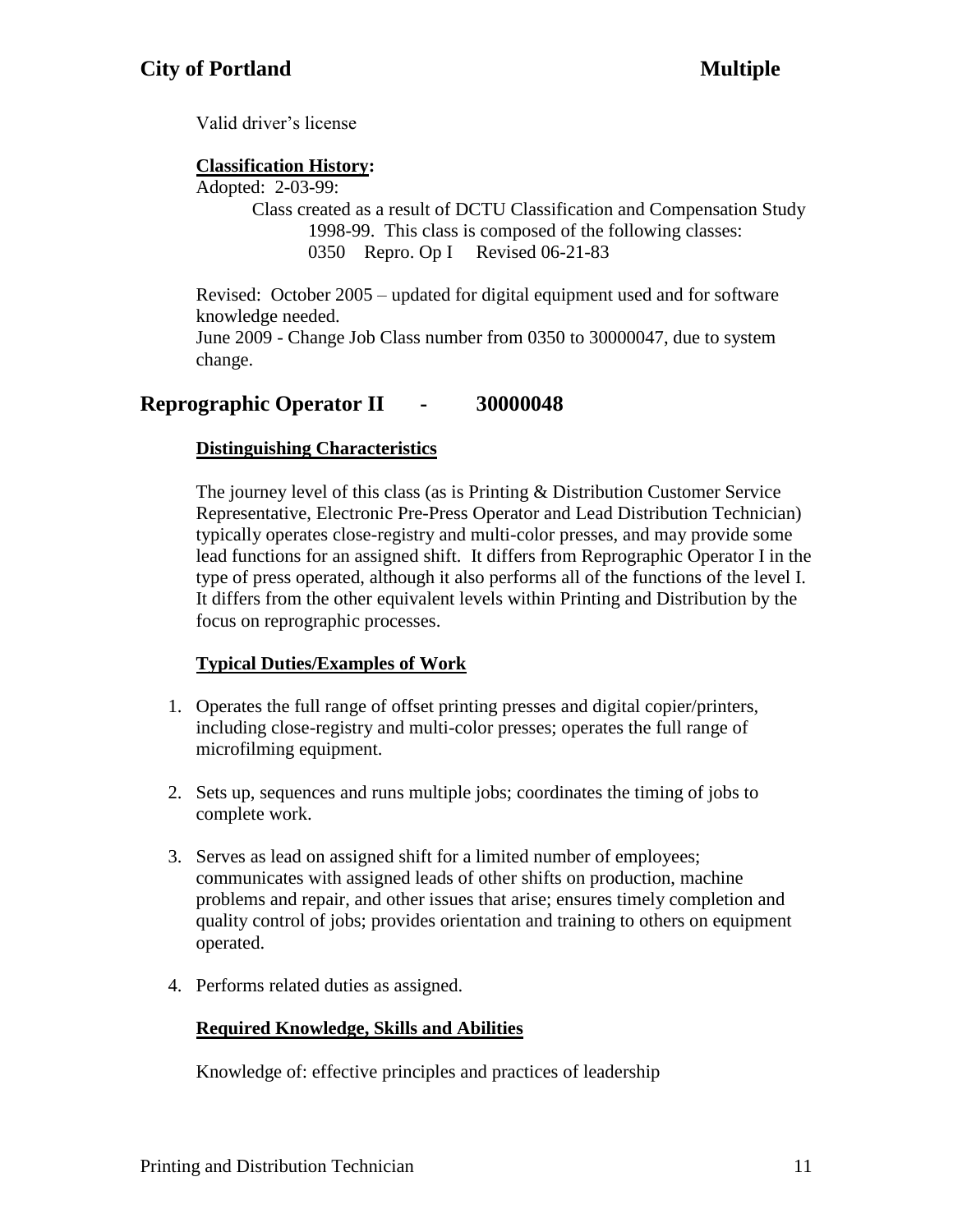Valid driver's license

# **Classification History:**

Adopted: 2-03-99:

Class created as a result of DCTU Classification and Compensation Study 1998-99. This class is composed of the following classes: 0350 Repro. Op I Revised 06-21-83

Revised: October 2005 – updated for digital equipment used and for software knowledge needed. June 2009 - Change Job Class number from 0350 to 30000047, due to system change.

# **Reprographic Operator II - 30000048**

# **Distinguishing Characteristics**

The journey level of this class (as is Printing  $&$  Distribution Customer Service Representative, Electronic Pre-Press Operator and Lead Distribution Technician) typically operates close-registry and multi-color presses, and may provide some lead functions for an assigned shift. It differs from Reprographic Operator I in the type of press operated, although it also performs all of the functions of the level I. It differs from the other equivalent levels within Printing and Distribution by the focus on reprographic processes.

# **Typical Duties/Examples of Work**

- 1. Operates the full range of offset printing presses and digital copier/printers, including close-registry and multi-color presses; operates the full range of microfilming equipment.
- 2. Sets up, sequences and runs multiple jobs; coordinates the timing of jobs to complete work.
- 3. Serves as lead on assigned shift for a limited number of employees; communicates with assigned leads of other shifts on production, machine problems and repair, and other issues that arise; ensures timely completion and quality control of jobs; provides orientation and training to others on equipment operated.
- 4. Performs related duties as assigned.

# **Required Knowledge, Skills and Abilities**

Knowledge of: effective principles and practices of leadership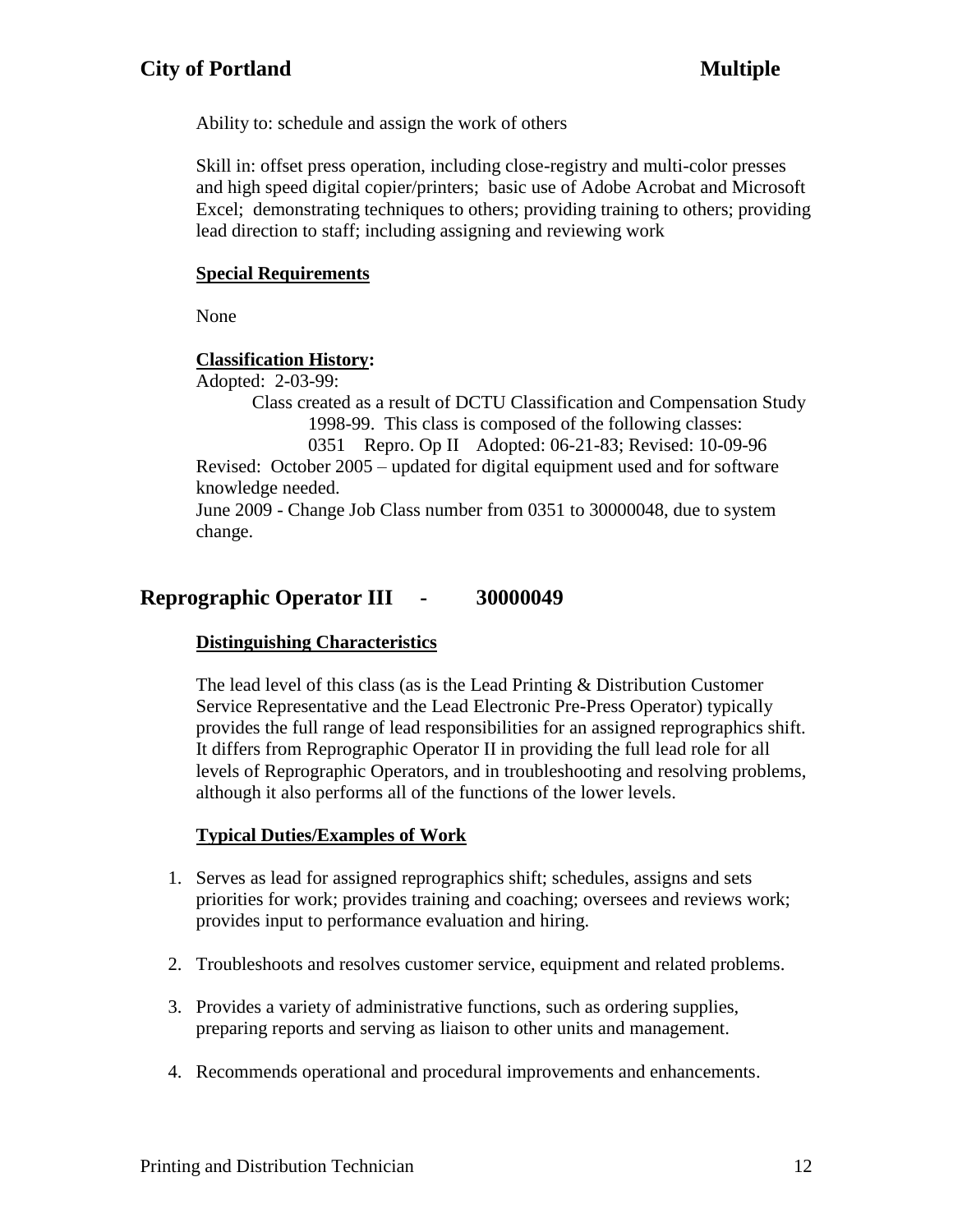Ability to: schedule and assign the work of others

Skill in: offset press operation, including close-registry and multi-color presses and high speed digital copier/printers; basic use of Adobe Acrobat and Microsoft Excel; demonstrating techniques to others; providing training to others; providing lead direction to staff; including assigning and reviewing work

### **Special Requirements**

None

## **Classification History:**

Adopted: 2-03-99:

Class created as a result of DCTU Classification and Compensation Study 1998-99. This class is composed of the following classes: 0351 Repro. Op II Adopted: 06-21-83; Revised: 10-09-96 Revised: October 2005 – updated for digital equipment used and for software knowledge needed.

June 2009 - Change Job Class number from 0351 to 30000048, due to system change.

# **Reprographic Operator III - 30000049**

## **Distinguishing Characteristics**

The lead level of this class (as is the Lead Printing & Distribution Customer Service Representative and the Lead Electronic Pre-Press Operator) typically provides the full range of lead responsibilities for an assigned reprographics shift. It differs from Reprographic Operator II in providing the full lead role for all levels of Reprographic Operators, and in troubleshooting and resolving problems, although it also performs all of the functions of the lower levels.

## **Typical Duties/Examples of Work**

- 1. Serves as lead for assigned reprographics shift; schedules, assigns and sets priorities for work; provides training and coaching; oversees and reviews work; provides input to performance evaluation and hiring.
- 2. Troubleshoots and resolves customer service, equipment and related problems.
- 3. Provides a variety of administrative functions, such as ordering supplies, preparing reports and serving as liaison to other units and management.
- 4. Recommends operational and procedural improvements and enhancements.